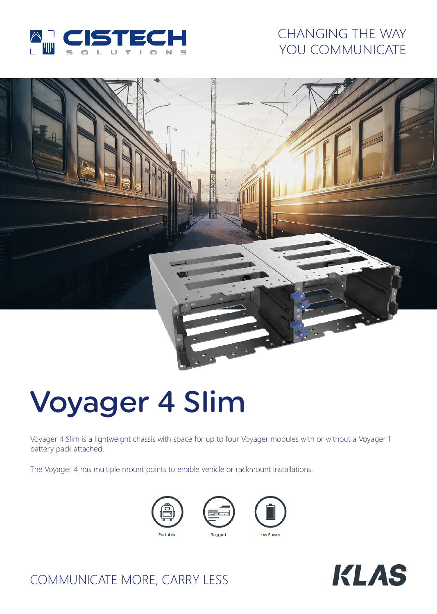

# CHANGING THE WAY YOU COMMUNICATE



# Voyager 4 Slim

Voyager 4 Slim is a lightweight chassis with space for up to four Voyager modules with or without a Voyager 1 battery pack attached.

The Voyager 4 has multiple mount points to enable vehicle or rackmount installations.





COMMUNICATE MORE, CARRY LESS